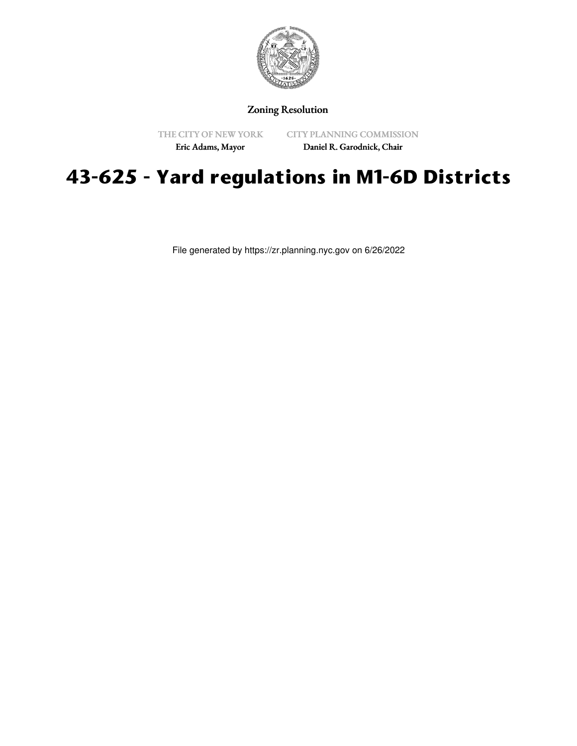

## Zoning Resolution

THE CITY OF NEW YORK

CITY PLANNING COMMISSION

Eric Adams, Mayor

Daniel R. Garodnick, Chair

## **43-625 - Yard regulations in M1-6D Districts**

File generated by https://zr.planning.nyc.gov on 6/26/2022